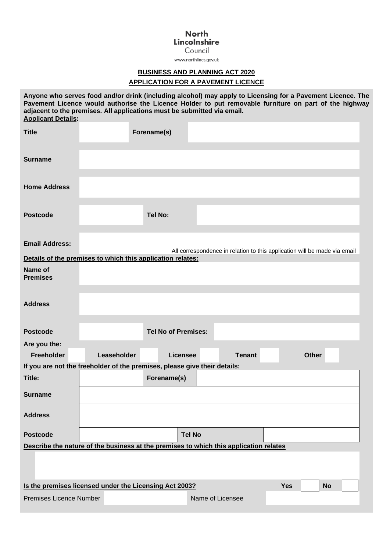## **North** Lincolnshire

Council

www.northlincs.gov.uk

## **BUSINESS AND PLANNING ACT 2020**

## **APPLICATION FOR A PAVEMENT LICENCE**

**Postcode Yes Applicant Details: Title Forename(s) Surname Home Address** Postcode Tel No: **Email Address:** All correspondence in relation to this application will be made via email **Anyone who serves food and/or drink (including alcohol) may apply to Licensing for a Pavement Licence. The Pavement Licence would authorise the Licence Holder to put removable furniture on part of the highway adjacent to the premises. All applications must be submitted via email. Details of the premises to which this application relates: Name of Premises Address Postcode Tel No of Premises: Are you the: Freeholder Leaseholder Licensee Tenant Other If you are not the freeholder of the premises, please give their details: Title: Surname Address Postcode Describe the nature of the business at the premises to which this application relates Forename(s) Tel No Is the premises licensed under the Licensing Act 2003?** Yes Yes No Premises Licence Number Name of Licensee